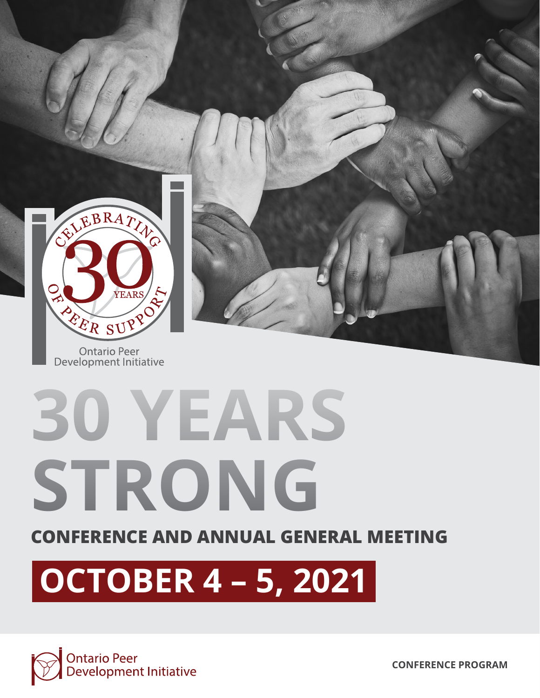

# **30 YEARS STRONG**

### **CONFERENCE AND ANNUAL GENERAL MEETING**

## **OCTOBER 4 – 5, 2021**

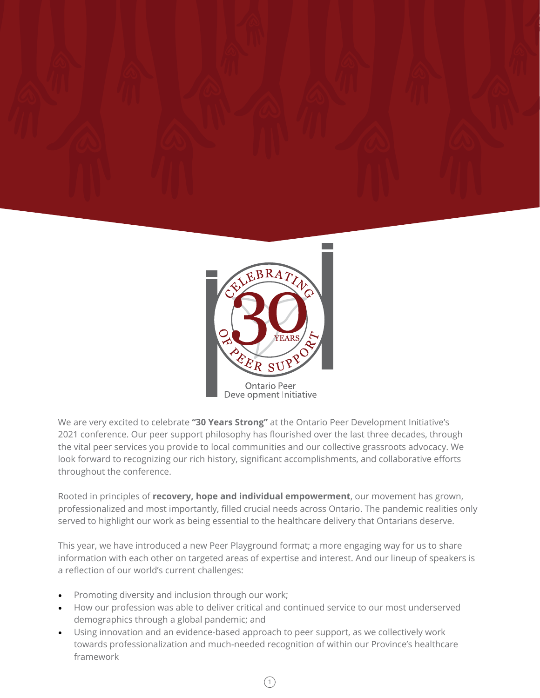



We are very excited to celebrate **"30 Years Strong"** at the Ontario Peer Development Initiative's 2021 conference. Our peer support philosophy has flourished over the last three decades, through the vital peer services you provide to local communities and our collective grassroots advocacy. We look forward to recognizing our rich history, significant accomplishments, and collaborative efforts throughout the conference.

Rooted in principles of **recovery, hope and individual empowerment**, our movement has grown, professionalized and most importantly, filled crucial needs across Ontario. The pandemic realities only served to highlight our work as being essential to the healthcare delivery that Ontarians deserve.

This year, we have introduced a new Peer Playground format; a more engaging way for us to share information with each other on targeted areas of expertise and interest. And our lineup of speakers is a reflection of our world's current challenges:

- Promoting diversity and inclusion through our work;
- How our profession was able to deliver critical and continued service to our most underserved demographics through a global pandemic; and
- Using innovation and an evidence-based approach to peer support, as we collectively work towards professionalization and much-needed recognition of within our Province's healthcare framework

1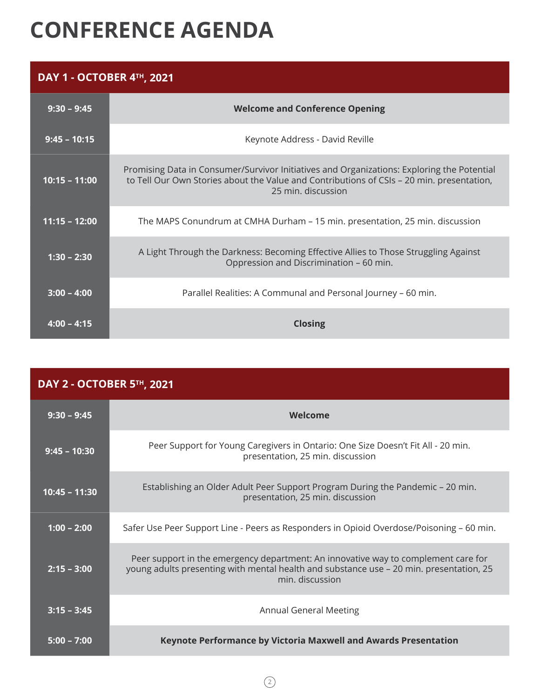### **CONFERENCE AGENDA**

### **DAY 1 - OCTOBER 4TH, 2021**

| $9:30 - 9:45$   | <b>Welcome and Conference Opening</b>                                                                                                                                                                         |
|-----------------|---------------------------------------------------------------------------------------------------------------------------------------------------------------------------------------------------------------|
| $9:45 - 10:15$  | Keynote Address - David Reville                                                                                                                                                                               |
| $10:15 - 11:00$ | Promising Data in Consumer/Survivor Initiatives and Organizations: Exploring the Potential<br>to Tell Our Own Stories about the Value and Contributions of CSIs - 20 min. presentation,<br>25 min. discussion |
| $11:15 - 12:00$ | The MAPS Conundrum at CMHA Durham – 15 min. presentation, 25 min. discussion                                                                                                                                  |
| $1:30 - 2:30$   | A Light Through the Darkness: Becoming Effective Allies to Those Struggling Against<br>Oppression and Discrimination - 60 min.                                                                                |
| $3:00 - 4:00$   | Parallel Realities: A Communal and Personal Journey - 60 min.                                                                                                                                                 |
| $4:00 - 4:15$   | <b>Closing</b>                                                                                                                                                                                                |

| <b>DAY 2 - OCTOBER 5TH, 2021</b> |                                                                                                                                                                                                  |
|----------------------------------|--------------------------------------------------------------------------------------------------------------------------------------------------------------------------------------------------|
| $9:30 - 9:45$                    | Welcome                                                                                                                                                                                          |
| $9:45 - 10:30$                   | Peer Support for Young Caregivers in Ontario: One Size Doesn't Fit All - 20 min.<br>presentation, 25 min. discussion                                                                             |
| $10:45 - 11:30$                  | Establishing an Older Adult Peer Support Program During the Pandemic – 20 min.<br>presentation, 25 min. discussion                                                                               |
| $1:00 - 2:00$                    | Safer Use Peer Support Line - Peers as Responders in Opioid Overdose/Poisoning – 60 min.                                                                                                         |
| $2:15 - 3:00$                    | Peer support in the emergency department: An innovative way to complement care for<br>young adults presenting with mental health and substance use - 20 min. presentation, 25<br>min. discussion |
| $3:15 - 3:45$                    | <b>Annual General Meeting</b>                                                                                                                                                                    |
| $5:00 - 7:00$                    | Keynote Performance by Victoria Maxwell and Awards Presentation                                                                                                                                  |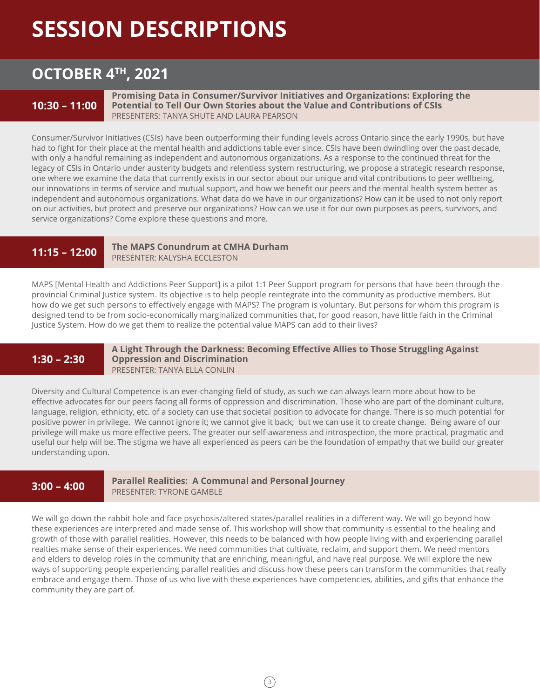### **SESSION DESCRIPTIONS**

### **OCTOBER 4TH, 2021**

### **10:30 – 11:00**

**Promising Data in Consumer/Survivor Initiatives and Organizations: Exploring the Potential to Tell Our Own Stories about the Value and Contributions of CSIs** PRESENTERS: TANYA SHUTE AND LAURA PEARSON

Consumer/Survivor Initiatives (CSIs) have been outperforming their funding levels across Ontario since the early 1990s, but have had to fight for their place at the mental health and addictions table ever since. CSIs have been dwindling over the past decade, with only a handful remaining as independent and autonomous organizations. As a response to the continued threat for the legacy of CSIs in Ontario under austerity budgets and relentless system restructuring, we propose a strategic research response, one where we examine the data that currently exists in our sector about our unique and vital contributions to peer wellbeing, our innovations in terms of service and mutual support, and how we benefit our peers and the mental health system better as independent and autonomous organizations. What data do we have in our organizations? How can it be used to not only report on our activities, but protect and preserve our organizations? How can we use it for our own purposes as peers, survivors, and service organizations? Come explore these questions and more.

### **11:15 – 12:00**

**The MAPS Conundrum at CMHA Durham** PRESENTER: KALYSHA ECCLESTON

MAPS [Mental Health and Addictions Peer Support] is a pilot 1:1 Peer Support program for persons that have been through the provincial Criminal Justice system. Its objective is to help people reintegrate into the community as productive members. But how do we get such persons to effectively engage with MAPS? The program is voluntary. But persons for whom this program is designed tend to be from socio-economically marginalized communities that, for good reason, have little faith in the Criminal Justice System. How do we get them to realize the potential value MAPS can add to their lives?

### **1:30 – 2:30**

#### **A Light Through the Darkness: Becoming Effective Allies to Those Struggling Against Oppression and Discrimination** PRESENTER: TANYA ELLA CONLIN

Diversity and Cultural Competence is an ever-changing field of study, as such we can always learn more about how to be effective advocates for our peers facing all forms of oppression and discrimination. Those who are part of the dominant culture, language, religion, ethnicity, etc. of a society can use that societal position to advocate for change. There is so much potential for positive power in privilege. We cannot ignore it; we cannot give it back; but we can use it to create change. Being aware of our privilege will make us more effective peers. The greater our self-awareness and introspection, the more practical, pragmatic and useful our help will be. The stigma we have all experienced as peers can be the foundation of empathy that we build our greater understanding upon.

### **3:00 – 4:00**

### **Parallel Realities: A Communal and Personal Journey** PRESENTER: TYRONE GAMBLE

We will go down the rabbit hole and face psychosis/altered states/parallel realities in a different way. We will go beyond how these experiences are interpreted and made sense of. This workshop will show that community is essential to the healing and growth of those with parallel realities. However, this needs to be balanced with how people living with and experiencing parallel realties make sense of their experiences. We need communities that cultivate, reclaim, and support them. We need mentors and elders to develop roles in the community that are enriching, meaningful, and have real purpose. We will explore the new ways of supporting people experiencing parallel realities and discuss how these peers can transform the communities that really embrace and engage them. Those of us who live with these experiences have competencies, abilities, and gifts that enhance the community they are part of.

 $(3)$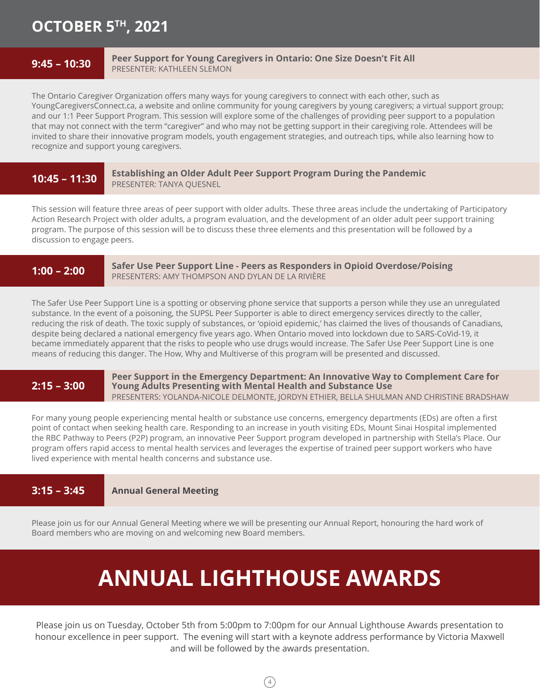### **OCTOBER 5TH, 2021**

### **9:45 – 10:30**

#### **Peer Support for Young Caregivers in Ontario: One Size Doesn't Fit All** PRESENTER: KATHLEEN SLEMON

The Ontario Caregiver Organization offers many ways for young caregivers to connect with each other, such as YoungCaregiversConnect.ca, a website and online community for young caregivers by young caregivers; a virtual support group; and our 1:1 Peer Support Program. This session will explore some of the challenges of providing peer support to a population that may not connect with the term "caregiver" and who may not be getting support in their caregiving role. Attendees will be invited to share their innovative program models, youth engagement strategies, and outreach tips, while also learning how to recognize and support young caregivers.

### **10:45 – 11:30**

**Establishing an Older Adult Peer Support Program During the Pandemic** PRESENTER: TANYA QUESNEL

This session will feature three areas of peer support with older adults. These three areas include the undertaking of Participatory Action Research Project with older adults, a program evaluation, and the development of an older adult peer support training program. The purpose of this session will be to discuss these three elements and this presentation will be followed by a discussion to engage peers.

### **1:00 – 2:00**

**Safer Use Peer Support Line - Peers as Responders in Opioid Overdose/Poising** PRESENTERS: AMY THOMPSON AND DYLAN DE LA RIVIÈRE

The Safer Use Peer Support Line is a spotting or observing phone service that supports a person while they use an unregulated substance. In the event of a poisoning, the SUPSL Peer Supporter is able to direct emergency services directly to the caller, reducing the risk of death. The toxic supply of substances, or 'opioid epidemic,' has claimed the lives of thousands of Canadians, despite being declared a national emergency five years ago. When Ontario moved into lockdown due to SARS-CoVid-19, it became immediately apparent that the risks to people who use drugs would increase. The Safer Use Peer Support Line is one means of reducing this danger. The How, Why and Multiverse of this program will be presented and discussed.

### **2:15 – 3:00**

**Peer Support in the Emergency Department: An Innovative Way to Complement Care for Young Adults Presenting with Mental Health and Substance Use** PRESENTERS: YOLANDA-NICOLE DELMONTE, JORDYN ETHIER, BELLA SHULMAN AND CHRISTINE BRADSHAW

For many young people experiencing mental health or substance use concerns, emergency departments (EDs) are often a first point of contact when seeking health care. Responding to an increase in youth visiting EDs, Mount Sinai Hospital implemented the RBC Pathway to Peers (P2P) program, an innovative Peer Support program developed in partnership with Stella's Place. Our program offers rapid access to mental health services and leverages the expertise of trained peer support workers who have lived experience with mental health concerns and substance use.

#### **Annual General Meeting 3:15 – 3:45**

Please join us for our Annual General Meeting where we will be presenting our Annual Report, honouring the hard work of Board members who are moving on and welcoming new Board members.

### **ANNUAL LIGHTHOUSE AWARDS**

Please join us on Tuesday, October 5th from 5:00pm to 7:00pm for our Annual Lighthouse Awards presentation to honour excellence in peer support. The evening will start with a keynote address performance by Victoria Maxwell and will be followed by the awards presentation.

 $(4)$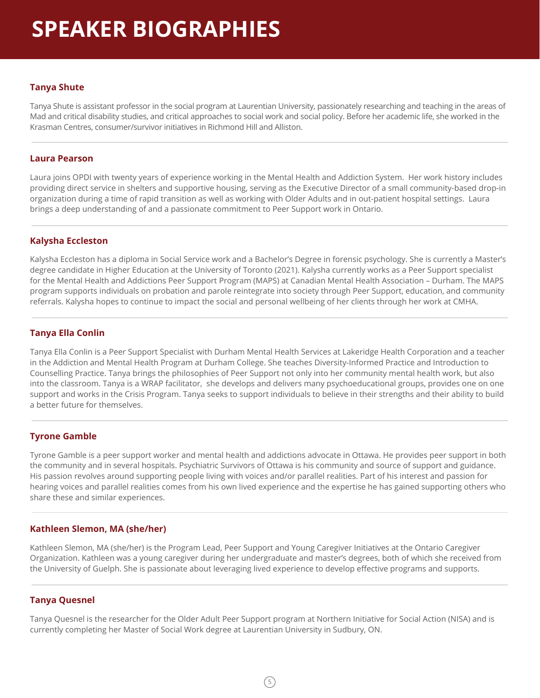### **Tanya Shute**

Tanya Shute is assistant professor in the social program at Laurentian University, passionately researching and teaching in the areas of Mad and critical disability studies, and critical approaches to social work and social policy. Before her academic life, she worked in the Krasman Centres, consumer/survivor initiatives in Richmond Hill and Alliston.

### **Laura Pearson**

Laura joins OPDI with twenty years of experience working in the Mental Health and Addiction System. Her work history includes providing direct service in shelters and supportive housing, serving as the Executive Director of a small community-based drop-in organization during a time of rapid transition as well as working with Older Adults and in out-patient hospital settings. Laura brings a deep understanding of and a passionate commitment to Peer Support work in Ontario.

### **Kalysha Eccleston**

Kalysha Eccleston has a diploma in Social Service work and a Bachelor's Degree in forensic psychology. She is currently a Master's degree candidate in Higher Education at the University of Toronto (2021). Kalysha currently works as a Peer Support specialist for the Mental Health and Addictions Peer Support Program (MAPS) at Canadian Mental Health Association – Durham. The MAPS program supports individuals on probation and parole reintegrate into society through Peer Support, education, and community referrals. Kalysha hopes to continue to impact the social and personal wellbeing of her clients through her work at CMHA.

### **Tanya Ella Conlin**

Tanya Ella Conlin is a Peer Support Specialist with Durham Mental Health Services at Lakeridge Health Corporation and a teacher in the Addiction and Mental Health Program at Durham College. She teaches Diversity-Informed Practice and Introduction to Counselling Practice. Tanya brings the philosophies of Peer Support not only into her community mental health work, but also into the classroom. Tanya is a WRAP facilitator, she develops and delivers many psychoeducational groups, provides one on one support and works in the Crisis Program. Tanya seeks to support individuals to believe in their strengths and their ability to build a better future for themselves.

### **Tyrone Gamble**

Tyrone Gamble is a peer support worker and mental health and addictions advocate in Ottawa. He provides peer support in both the community and in several hospitals. Psychiatric Survivors of Ottawa is his community and source of support and guidance. His passion revolves around supporting people living with voices and/or parallel realities. Part of his interest and passion for hearing voices and parallel realities comes from his own lived experience and the expertise he has gained supporting others who share these and similar experiences.

### **Kathleen Slemon, MA (she/her)**

Kathleen Slemon, MA (she/her) is the Program Lead, Peer Support and Young Caregiver Initiatives at the Ontario Caregiver Organization. Kathleen was a young caregiver during her undergraduate and master's degrees, both of which she received from the University of Guelph. She is passionate about leveraging lived experience to develop effective programs and supports.

### **Tanya Quesnel**

Tanya Quesnel is the researcher for the Older Adult Peer Support program at Northern Initiative for Social Action (NISA) and is currently completing her Master of Social Work degree at Laurentian University in Sudbury, ON.

 $(5)$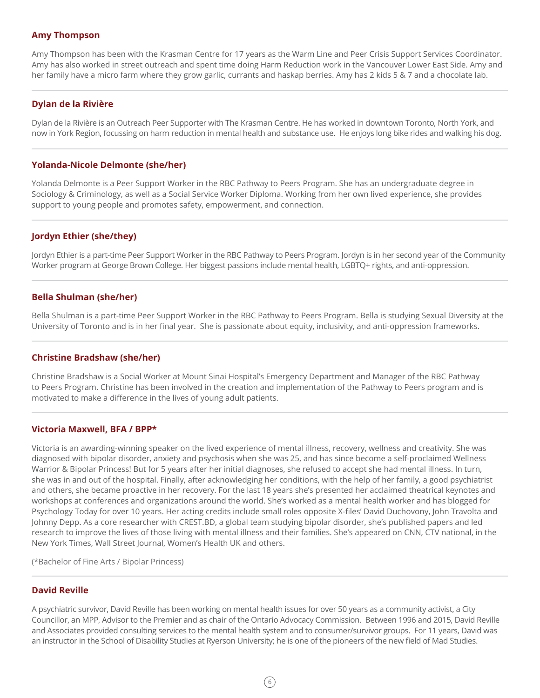#### **Amy Thompson**

Amy Thompson has been with the Krasman Centre for 17 years as the Warm Line and Peer Crisis Support Services Coordinator. Amy has also worked in street outreach and spent time doing Harm Reduction work in the Vancouver Lower East Side. Amy and her family have a micro farm where they grow garlic, currants and haskap berries. Amy has 2 kids 5 & 7 and a chocolate lab.

### **Dylan de la Rivière**

Dylan de la Rivière is an Outreach Peer Supporter with The Krasman Centre. He has worked in downtown Toronto, North York, and now in York Region, focussing on harm reduction in mental health and substance use. He enjoys long bike rides and walking his dog.

### **Yolanda-Nicole Delmonte (she/her)**

Yolanda Delmonte is a Peer Support Worker in the RBC Pathway to Peers Program. She has an undergraduate degree in Sociology & Criminology, as well as a Social Service Worker Diploma. Working from her own lived experience, she provides support to young people and promotes safety, empowerment, and connection.

### **Jordyn Ethier (she/they)**

Jordyn Ethier is a part-time Peer Support Worker in the RBC Pathway to Peers Program. Jordyn is in her second year of the Community Worker program at George Brown College. Her biggest passions include mental health, LGBTQ+ rights, and anti-oppression.

### **Bella Shulman (she/her)**

Bella Shulman is a part-time Peer Support Worker in the RBC Pathway to Peers Program. Bella is studying Sexual Diversity at the University of Toronto and is in her final year. She is passionate about equity, inclusivity, and anti-oppression frameworks.

#### **Christine Bradshaw (she/her)**

Christine Bradshaw is a Social Worker at Mount Sinai Hospital's Emergency Department and Manager of the RBC Pathway to Peers Program. Christine has been involved in the creation and implementation of the Pathway to Peers program and is motivated to make a difference in the lives of young adult patients.

#### **Victoria Maxwell, BFA / BPP\***

Victoria is an awarding-winning speaker on the lived experience of mental illness, recovery, wellness and creativity. She was diagnosed with bipolar disorder, anxiety and psychosis when she was 25, and has since become a self-proclaimed Wellness Warrior & Bipolar Princess! But for 5 years after her initial diagnoses, she refused to accept she had mental illness. In turn, she was in and out of the hospital. Finally, after acknowledging her conditions, with the help of her family, a good psychiatrist and others, she became proactive in her recovery. For the last 18 years she's presented her acclaimed theatrical keynotes and workshops at conferences and organizations around the world. She's worked as a mental health worker and has blogged for Psychology Today for over 10 years. Her acting credits include small roles opposite X-files' David Duchovony, John Travolta and Johnny Depp. As a core researcher with CREST.BD, a global team studying bipolar disorder, she's published papers and led research to improve the lives of those living with mental illness and their families. She's appeared on CNN, CTV national, in the New York Times, Wall Street Journal, Women's Health UK and others.

(\*Bachelor of Fine Arts / Bipolar Princess)

#### **David Reville**

A psychiatric survivor, David Reville has been working on mental health issues for over 50 years as a community activist, a City Councillor, an MPP, Advisor to the Premier and as chair of the Ontario Advocacy Commission. Between 1996 and 2015, David Reville and Associates provided consulting services to the mental health system and to consumer/survivor groups. For 11 years, David was an instructor in the School of Disability Studies at Ryerson University; he is one of the pioneers of the new field of Mad Studies.